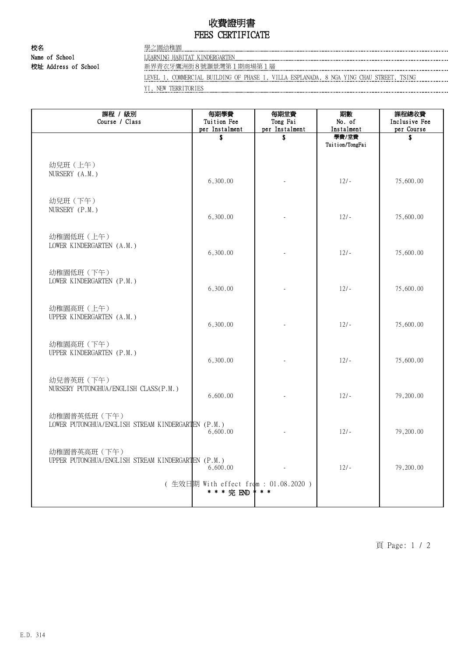## 收費證明書 FEES CERTIFICATE

校名 學之園幼稚園 Name of School **LEARNING HABITAT KINDERGARTEN EXAMPLE CONTROL** CONTROL CONTROL CONTROL LEARNING HABITAT KINDERGARTEN

校址 Address of School 新界青衣牙鷹洲街8號灝景灣第1期商場第1層

LEVEL 1, COMMERCIAL BUILDING OF PHASE 1, VILLA ESPLANADA, 8 NGA YING CHAU STREET, TSING YI, NEW TERRITORIES

| 課程 / 級別<br>Course / Class                                          | 每期學費<br>Tuition Fee<br>per Instalment                | 每期堂費<br>Tong Fai<br>per Instalment | 期數<br>No. of<br>Instalment | 課程總收費<br>Inclusive Fee<br>per Course |
|--------------------------------------------------------------------|------------------------------------------------------|------------------------------------|----------------------------|--------------------------------------|
|                                                                    | \$                                                   | \$                                 | 學費/堂費<br>Tuition/TongFai   | \$                                   |
| 幼兒班 (上午)<br>NURSERY (A.M.)                                         | 6,300.00                                             |                                    | $12/-$                     | 75,600.00                            |
| 幼兒班 (下午)<br>NURSERY (P.M.)                                         | 6,300.00                                             |                                    | $12/-$                     | 75,600.00                            |
| 幼稚園低班 (上午)<br>LOWER KINDERGARTEN (A.M.)                            | 6,300.00                                             |                                    | $12/-$                     | 75,600.00                            |
| 幼稚園低班 (下午)<br>LOWER KINDERGARTEN (P.M.)                            | 6,300.00                                             |                                    | $12/-$                     | 75,600.00                            |
| 幼稚園高班 (上午)<br>UPPER KINDERGARTEN (A.M.)                            | 6,300.00                                             |                                    | $12/-$                     | 75,600.00                            |
| 幼稚園高班 (下午)<br>UPPER KINDERGARTEN (P.M.)                            | 6,300.00                                             |                                    | $12/-$                     | 75,600.00                            |
| 幼兒普英班 (下午)<br>NURSERY PUTONGHUA/ENGLISH CLASS(P.M.)                | 6,600.00                                             |                                    | $12/-$                     | 79,200.00                            |
| 幼稚園普英低班 (下午)<br>LOWER PUTONGHUA/ENGLISH STREAM KINDERGARTEN (P.M.) | 6,600.00                                             |                                    | $12/-$                     | 79,200.00                            |
| 幼稚園普英高班 (下午)<br>UPPER PUTONGHUA/ENGLISH STREAM KINDERGARTEN (P.M.) | 6,600.00                                             |                                    | $12/-$                     | 79,200.00                            |
|                                                                    | (生效日期 With effect from : 01.08.2020 )<br>* * * 完 END |                                    |                            |                                      |

頁 Page: 1 / 2